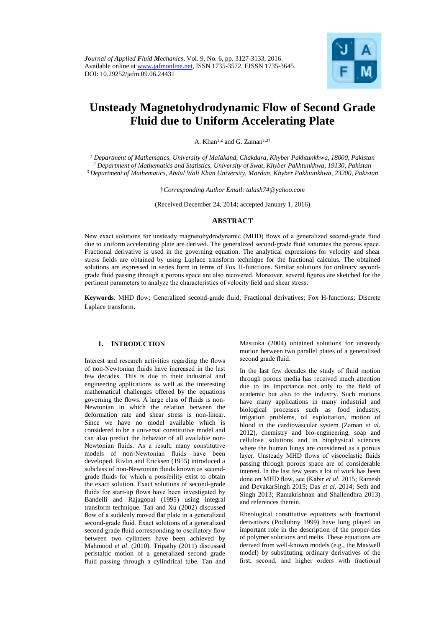

# **Unsteady Magnetohydrodynamic Flow of Second Grade Fluid due to Uniform Accelerating Plate**

A. Khan<sup>1,2</sup> and G. Zaman<sup>1,3†</sup>

*<sup>1</sup> Department of Mathematics, University of Malakand, Chakdara, Khyber Pakhtunkhwa, 18000, Pakistan*

*<sup>2</sup> Department of Mathematics and Statistics, University of Swat, Khyber Pakhtunkhwa, 19130, Pakistan <sup>3</sup>Department of Mathematics, Abdul Wali Khan University, Mardan, Khyber Pakhtunkhwa, 23200, Pakistan*

†*Corresponding Author Email: talash74@yahoo.com*

(Received December 24, 2014; accepted January 1, 2016)

## **ABSTRACT**

New exact solutions for unsteady magnetohydrodynamic (MHD) flows of a generalized second-grade fluid due to uniform accelerating plate are derived. The generalized second-grade fluid saturates the porous space. Fractional derivative is used in the governing equation. The analytical expressions for velocity and shear stress fields are obtained by using Laplace transform technique for the fractional calculus. The obtained solutions are expressed in series form in terms of Fox H-functions. Similar solutions for ordinary secondgrade fluid passing through a porous space are also recovered. Moreover, several figures are sketched for the pertinent parameters to analyze the characteristics of velocity field and shear stress.

**Keywords**: MHD flow; Generalized second-grade fluid; Fractional derivatives; Fox H-functions; Discrete Laplace transform.

#### **1. INTRODUCTION**

Interest and research activities regarding the flows of non-Newtonian fluids have increased in the last few decades. This is due to their industrial and engineering applications as well as the interesting mathematical challenges offered by the equations governing the flows. A large class of fluids is non-Newtonian in which the relation between the deformation rate and shear stress is non-linear. Since we have no model available which is considered to be a universal constitutive model and can also predict the behavior of all available non-Newtonian fluids. As a result, many constitutive models of non-Newtonian fluids have been developed. Rivlin and Ericksen (1955) introduced a subclass of non-Newtonian fluids known as secondgrade fluids for which a possibility exist to obtain the exact solution. Exact solutions of second-grade fluids for start-up flows have been investigated by Bandelli and Rajagopal (1995) using integral transform technique. Tan and Xu (2002) discussed flow of a suddenly moved flat plate in a generalized second-grade fluid. Exact solutions of a generalized second grade fluid corresponding to oscillatory flow between two cylinders have been achieved by Mahmood *et al*. (2010). Tripathy (2011) discussed peristaltic motion of a generalized second grade fluid passing through a cylindrical tube. Tan and

Masuoka (2004) obtained solutions for unsteady motion between two parallel plates of a generalized second grade fluid.

In the last few decades the study of fluid motion through porous media has received much attention due to its importance not only to the field of academic but also to the industry. Such motions have many applications in many industrial and biological processes such as food industry, irrigation problems, oil exploitation, motion of blood in the cardiovascular system (Zaman *et al*. 2012), chemistry and bio-engineering, soap and cellulose solutions and in biophysical sciences where the human lungs are considered as a porous layer. Unsteady MHD flows of viscoelastic fluids passing through porous space are of considerable interest. In the last few years a lot of work has been done on MHD flow, see (Kabir *et al*. 2015; Ramesh and DevakarSingh 2015; Das *et al*. 2014; Seth and Singh 2013; Ramakrishnan and Shailendhra 2013) and references therein.

Rheological constitutive equations with fractional derivatives (Podlubny 1999) have long played an important role in the description of the proper-ties of polymer solutions and melts. These equations are derived from well-known models (e.g., the Maxwell model) by substituting ordinary derivatives of the first, second, and higher orders with fractional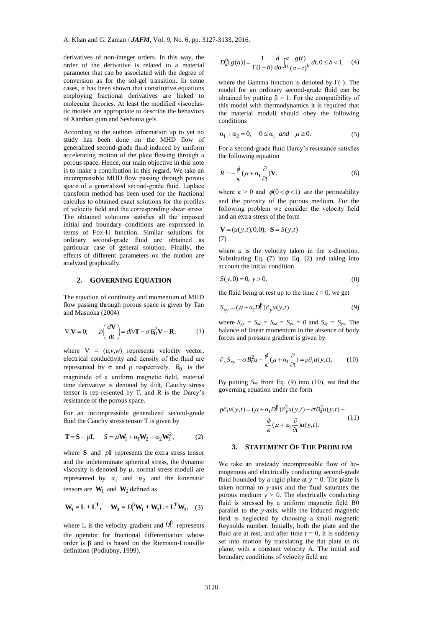derivatives of non-integer orders. In this way, the order of the derivative is related to a material parameter that can be associated with the degree of conversion as for the sol-gel transition. In some cases, it has been shown that constitutive equations employing fractional derivatives are linked to molecular theories. At least the modified viscoelastic models are appropriate to describe the behaviors of Xanthan gum and Sesbania gels.

According to the authors information up to yet no study has been done on the MHD flow of generalized second-grade fluid induced by uniform accelerating motion of the plate flowing through a porous space. Hence, our main objective in this note is to make a contribution in this regard. We take an incompressible MHD flow passing through porous space of a generalized second-grade fluid. Laplace transform method has been used for the fractional calculus to obtained exact solutions for the profiles of velocity field and the corresponding shear stress. The obtained solutions satisfies all the imposed initial and boundary conditions are expressed in terms of Fox-H function. Similar solutions for ordinary second-grade fluid are obtained as particular case of general solution. Finally, the effects of different parameters on the motion are analyzed graphically.

### **2. GOVERNING EQUATION**

The equation of continuity and momentum of MHD flow passing through porous space is given by Tan and Masuoka (2004)

$$
\nabla \mathbf{V} = 0; \qquad \rho \left( \frac{d\mathbf{V}}{dt} \right) = div \mathbf{T} - \sigma B_0^2 \mathbf{V} + \mathbf{R}, \tag{1}
$$

where  $V = (u, v, w)$  represents velocity vector, electrical conductivity and density of the fluid are represented by  $\sigma$  and  $\rho$  respectively,  $B_0$  is the magnitude of a uniform magnetic field, material time derivative is denoted by d/dt, Cauchy stress tensor is rep-resented by T, and R is the Darcy's resistance of the porous space.

For an incompressible generalized second-grade fluid the Cauchy stress tensor T is given by

$$
\mathbf{T} = \mathbf{S} - p\mathbf{I}, \quad S = \mu \mathbf{W}_1 + \alpha_1 \mathbf{W}_2 + \alpha_2 \mathbf{W}_1^2, \tag{2}
$$

where  $S$  and  $pI$  represents the extra stress tensor and the indeterminate spherical stress, the dynamic viscosity is denoted by  $\mu$ , normal stress moduli are represented by  $\alpha_1$  and  $\alpha_2$  and the kinematic tensors are  $W_1$  and  $W_2$  defined as

$$
\mathbf{W}_1 = \mathbf{L} + \mathbf{L}^T, \quad \mathbf{W}_2 = D_t^{\beta} \mathbf{W}_1 + \mathbf{W}_1 \mathbf{L} + \mathbf{L}^T \mathbf{W}_1, \quad (3)
$$

where L is the velocity gradient and  $D_t^{\beta}$  represents the operator for fractional differentiation whose order is β and is based on the Riemann-Liouville definition (Podlubny, 1999).

$$
D_a^b[g(a)] = \frac{1}{\Gamma(1-b)} \frac{d}{da} \int_0^a \frac{g(t)}{(a-t)^b} dt, 0 \le b < 1,
$$
 (4)

where the Gamma function is denoted by Γ(·). The model for an ordinary second-grade fluid can be obtained by putting  $β = 1$ . For the compatibility of this model with thermodynamics it is required that the material moduli should obey the following conditions

$$
\alpha_1 + \alpha_2 = 0, \quad 0 \le \alpha_1 \quad \text{and} \quad \mu \ge 0. \tag{5}
$$

For a second-grade fluid Darcy's resistance satisfies the following equation

$$
R = -\frac{\phi}{\kappa}(\mu + \alpha_1 \frac{\partial}{\partial t})\mathbf{V},\tag{6}
$$

where  $\kappa > 0$  and  $\phi(0 < \phi < 1)$  are the permeability and the porosity of the porous medium. For the following problem we consider the velocity field and an extra stress of the form

$$
\mathbf{V} = (u(y,t),0,0), \ \mathbf{S} = S(y,t)
$$
\n(7)

where  $u$  is the velocity taken in the x-direction. Substituting Eq. (7) into Eq. (2) and taking into account the initial condition

$$
S(y,0) = 0, \ y > 0,\tag{8}
$$

the fluid being at rest up to the time  $t = 0$ , we get

$$
S_{xy} = (\mu + \alpha_1 D_t^{\beta}) \partial_y u(y, t)
$$
\n(9)

where  $S_{yy} = S_{zz} = S_{xz} = S_{yz} = 0$  and  $S_{xy} = S_{yx}$ . The balance of linear momentum in the absence of body forces and pressure gradient is given by

$$
\partial_y S_{xy} - \sigma B_0^2 u - \frac{\phi}{\kappa} (\mu + \alpha_1 \frac{\partial}{\partial t}) = \rho \partial_t u(y, t), \quad (10)
$$

By putting *Sxy* from Eq. (9) into (10), we find the governing equation under the form

$$
\rho \partial_t u(y,t) = (\mu + \alpha_1 D_t^{\beta}) \partial_y^2 u(y,t) - \sigma B_0^2 u(y,t) - \frac{\phi}{\kappa} (\mu + \alpha_1 \frac{\partial}{\partial t}) u(y,t).
$$
 (11)

#### **3. STATEMENT OF THE PROBLEM**

We take an unsteady incompressible flow of homogenous and electrically conducting second-grade fluid bounded by a rigid plate at  $y = 0$ . The plate is taken normal to *y*-axis and the fluid saturates the porous medium  $y > 0$ . The electrically conducting fluid is stressed by a uniform magnetic field B0 parallel to the *y*-axis, while the induced magnetic field is neglected by choosing a small magnetic Reynolds number. Initially, both the plate and the fluid are at rest, and after time  $t = 0$ , it is suddenly set into motion by translating the flat plate in its plane, with a constant velocity A. The initial and boundary conditions of velocity field are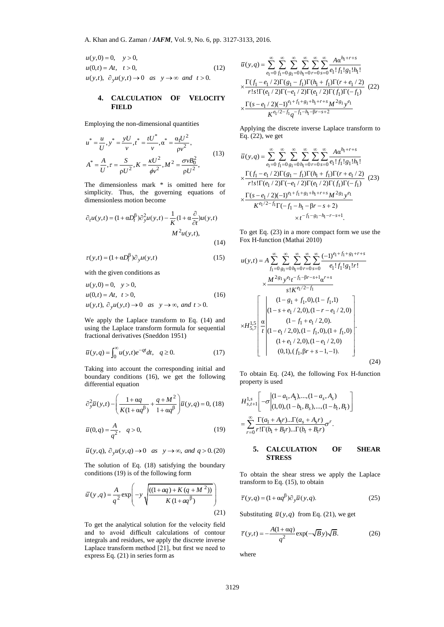$u(y,0) = 0, \quad y > 0,$  $u(y, 0) = 0, \quad y > 0,$ <br>  $u(0,t) = At, \quad t > 0,$  $u(0,t) = At, t > 0,$ <br>  $u(y,t), \partial_y u(y,t) \rightarrow 0 \text{ as } y \rightarrow \infty \text{ and } t > 0.$ (12)

## **4. CALCULATION OF VELOCITY FIELD**

Employing the non-dimensional quantities

$$
u^* = \frac{u}{U}, y^* = \frac{yU}{v}, t^* = \frac{tU^*}{v}, \alpha^* = \frac{\alpha_1 U^2}{\rho v^2},
$$
  

$$
A^* = \frac{A}{U}, \tau = \frac{S}{\rho U^2}, K = \frac{\kappa U^2}{\phi v^2}, M^2 = \frac{\sigma v B_0^2}{\rho U^2},
$$
 (13)

The dimensionless mark \* is omitted here for simplicity. Thus, the governing equations of dimensionless motion become

$$
\partial_t u(y,t) = (1 + \alpha D_t^{\beta}) \partial_y^2 u(y,t) - \frac{1}{K} (1 + \alpha \frac{\partial}{\partial t}) u(y,t)
$$
  

$$
M^2 u(y,t),
$$
 (14)

$$
\tau(y,t) = (1 + \alpha D_t^{\beta}) \partial_y u(y,t)
$$
 (15)

with the given conditions as  
\n
$$
u(y,0) = 0
$$
,  $y > 0$ ,  
\n $u(0,t) = At$ ,  $t > 0$ ,  
\n $u(y,t)$ ,  $\partial_y u(y,t) \rightarrow 0$  as  $y \rightarrow \infty$ , and  $t > 0$ . (16)

We apply the Laplace transform to Eq. (14) and using the Laplace transform formula for sequential fractional derivatives (Sneddon 1951)

$$
\overline{u}(y,q) = \int_0^\infty u(y,t)e^{-qt}dt, \quad q \ge 0.
$$
 (17)

Taking into account the corresponding initial and boundary conditions (16), we get the following differential equation

$$
\partial_y^2 \overline{u}(y,t) - \left(\frac{1 + \alpha q}{K(1 + \alpha q^{\beta})} + \frac{q + M^2}{1 + \alpha q^{\beta}}\right) \overline{u}(y,q) = 0, (18)
$$

$$
\bar{u}(0,q) = \frac{A}{q^2}, \quad q > 0,
$$
\n(19)

$$
\overline{u}(y,q), \partial_y u(y,q) \rightarrow 0
$$
 as  $y \rightarrow \infty$ , and  $q > 0$ . (20)

The solution of Eq. (18) satisfying the boundary conditions (19) is of the following form

$$
\bar{u}(y,q) = \frac{A}{q^2} \exp\left(-y \sqrt{\frac{((1+aq) + K(q+M^2))}{K(1+aq^{\beta})}}\right)
$$
\n(21)

To get the analytical solution for the velocity field and to avoid difficult calculations of contour integrals and residues, we apply the discrete inverse Laplace transform method [21], but first we need to express Eq. (21) in series form as

$$
\overline{u}(y,q) = \sum_{e_1=0}^{\infty} \sum_{f_1=0}^{\infty} \sum_{g_1=0}^{\infty} \sum_{h_1=0}^{\infty} \sum_{r=0}^{\infty} \sum_{s=0}^{\infty} \frac{A\alpha^{h_1+r+s}}{e_1!f_1!g_1!h_1!}
$$
\n
$$
\times \frac{\Gamma(f_1 - e_1/2)\Gamma(g_1 - f_1)\Gamma(h_1 + f_1)\Gamma(r + e_1/2)}{r!s!\Gamma(e_1/2)\Gamma(-e_1/2)\Gamma(e_1/2)\Gamma(f_1)\Gamma(-f_1)}
$$
\n
$$
\times \frac{\Gamma(s - e_1/2)(-1)^{e_1+f_1+g_1+h_1+r+s}M^{2g_1}y^{e_1}}{K^{e_1/2-f_1}q^{-f_1-h_1-\beta r-s+2}}
$$
\n(22)

Applying the discrete inverse Laplace transform to Eq. (22), we get

$$
\overline{u}(y,q) = \sum_{e_1=0}^{\infty} \sum_{f_1=0}^{\infty} \sum_{g_1=0}^{\infty} \sum_{h_1=0}^{\infty} \sum_{r=0}^{\infty} \sum_{s=0}^{\infty} \frac{A\alpha^{h_1+r+s}}{e_1!f_1!g_1!h_1!}
$$
\n
$$
\times \frac{\Gamma(f_1 - e_1 / 2)\Gamma(g_1 - f_1)\Gamma(h_1 + f_1)\Gamma(r + e_1 / 2)}{r!s!\Gamma(e_1 / 2)\Gamma(-e_1 / 2)\Gamma(e_1 / 2)\Gamma(f_1)\Gamma(-f_1)}
$$
\n
$$
\times \frac{\Gamma(s - e_1 / 2)(-1)^{e_1 + f_1 + g_1 + h_1 + r + s} M^{2s_1} y^{e_1}}{K^{e_1 / 2 - f_1}\Gamma(-f_1 - h_1 - \beta r - s + 2)}
$$
\n
$$
\times t^{-f_1 - g_1 - h_1 - r - s + 1}.
$$

To get Eq. (23) in a more compact form we use the Fox H-function (Mathai 2010)

$$
u(y,t) = A \sum_{f_1=0}^{\infty} \sum_{g_1=0}^{\infty} \sum_{h_1=0}^{\infty} \sum_{r=0}^{\infty} \sum_{s=0}^{\infty} \frac{(-1)^{e_1+f_1+g_1+r+s}}{e_1!f_1!g_1!r!}
$$
  
\n
$$
\times \frac{M^{2g_1}y^{e_1}t^{-f_1-\beta r-s+1}\alpha^{r+s}}{s!K^{e_1/2-f_1}}
$$
  
\n
$$
\times H_{5,7}^{1,5} \left[ \frac{(1-g_1+f_1,0),(1-f_1,1)}{(1-s+e_1/2,0),(1-r-e_1/2,0)}
$$
  
\n
$$
\times H_{5,7}^{1,5} \left[ \frac{\alpha}{t} \begin{vmatrix} (1-f_1+e_1/2,0), (1+f_1,0) \\ (1-f_1+e_1/2,0), (1+f_1,0) \\ (1+e_1/2,0), (1-e_1/2,0) \\ (0,1), (f_1, \beta r+s-1,-1). \end{vmatrix} \right].
$$
  
\n(24)

To obtain Eq. (24), the following Fox H-function property is used

$$
H_{s,t+1}^{1,s} \left[ -\sigma \left| (1-a_1, A_1), \dots, (1-a_s, A_s) \right| \atop (1,0), (1-b_1, B_s), \dots, (1-b_t, B_t) \right]
$$
  
= 
$$
\sum_{r=0}^{\infty} \frac{\Gamma(a_1 + A_1 r) \dots \Gamma(a_s + A_s r)}{r! \Gamma(b_1 + B_1 r) \dots \Gamma(b_t + B_t r)} \sigma^r.
$$

#### **5. CALCULATION OF SHEAR STRESS**

To obtain the shear stress we apply the Laplace transform to Eq. (15), to obtain

$$
\overline{\tau}(y,q) = (1 + \alpha q^{\beta}) \partial_y \overline{u}(y,q).
$$
 (25)

Substituting  $\bar{u}(y,q)$  from Eq. (21), we get

$$
\overline{\tau}(y,t) = -\frac{A(1+\alpha q)}{q^2} \exp(-\sqrt{B}y)\sqrt{B}.
$$
 (26)

where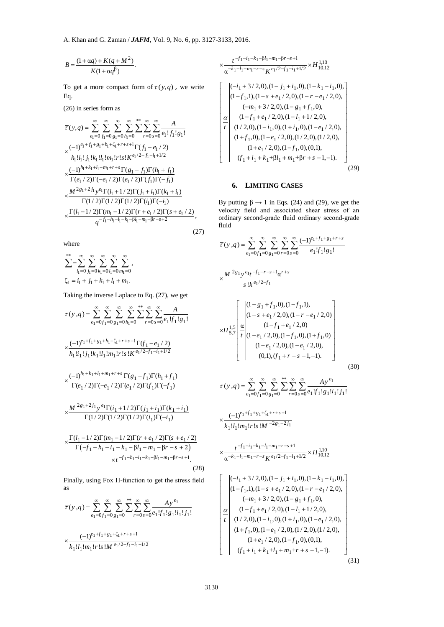A. Khan and G. Zaman / *JAFM*, Vol. 9, No. 6, pp. 3127-3133, 2016.

$$
B = \frac{(1 + \alpha q) + K(q + M^{2})}{K(1 + \alpha q^{\beta})}.
$$

To get a more compact form of  $\overline{\tau}(y,q)$ , we write Eq.

(26) in series form as

$$
\overline{\tau}(y,q) = \sum_{e_1=0}^{\infty} \sum_{f_1=0}^{\infty} \sum_{g_1=0}^{\infty} \sum_{h_1=0}^{*\ast} \sum_{r=0}^{\infty} \sum_{s=0}^{\infty} \frac{A}{e_1!f_1!g_1!}
$$
\n
$$
\times \frac{(-1)^{e_1+f_1+g_1+h_1+\zeta_1+r+s+1} \Gamma(f_1-e_1/2)}{h_1!i_1!j_1!k_1!l_1!m_1!r!s!K^{e_1/2-f_1-i_1+1/2}}
$$
\n
$$
\times \frac{(-1)^{h_1+k_1+l_1+m_1+r+s} \Gamma(g_1-f_1) \Gamma(h_1+f_1)}{\Gamma(e_1/2) \Gamma(-e_1/2) \Gamma(e_1/2) \Gamma(f_1) \Gamma(-f_1)}
$$
\n
$$
\times \frac{M^{2g_1+2j_1}y^{e_1} \Gamma(i_1+1/2) \Gamma(j_1+i_1) \Gamma(k_1+i_1)}{\Gamma(1/2) \Gamma(1/2) \Gamma(1/2) \Gamma(i_1) \Gamma(-i_1)}
$$
\n
$$
\times \frac{\Gamma(l_1-1/2) \Gamma(m_1-1/2) \Gamma(r+e_1/2) \Gamma(s+e_1/2)}{q^{-f_1-h_1-i_1-k_1} \Gamma(m_1-h_1-m_1-h_2-s+2}},
$$

where

$$
\begin{aligned} \sum_{i_1=0}^{**}&=\sum_{j_1=0}^{\infty}\sum_{k_1=0}^{\infty}\sum_{k_1=0}^{\infty}\sum_{m_1=0}^{\infty}\sum_{m_1=0}^{\infty},\\ \zeta_1&=i_1+j_1+k_1+l_1+m_1. \end{aligned}
$$

Taking the inverse Laplace to Eq. (27), we get

B = 
$$
\frac{(1+αq)+K(q+M^2)}{K(1+αq^3)}
$$
  
\nTo get a more compact form of  $\bar{r}(y,q)$ , we write  
\n(A) in series form as  
\n $\bar{r}(y,q) = \sum_{n=0}^{\infty} \sum_{j=0}^{\infty} \sum_{n=0}^{\infty} \sum_{n=0}^{\infty} \sum_{n=0}^{\infty} \sum_{n=1}^{\infty} \sum_{j=1}^{\infty} \sum_{n=0}^{\infty} \frac{A}{n!f_1!g_1!}$   
\n $\sum_{n=0}^{\infty} \sum_{j=0}^{\infty} \sum_{n=0}^{\infty} \sum_{n=0}^{\infty} \sum_{n=0}^{\infty} \sum_{n=0}^{\infty} \sum_{n=1}^{\infty} \sum_{n=1}^{\infty} \frac{A}{n!f_1!g_1!}$   
\n $\sum_{n=0}^{\infty} \sum_{j=1}^{\infty} \sum_{n=0}^{\infty} \sum_{n=0}^{\infty} \sum_{n=0}^{\infty} \sum_{n=1}^{\infty} \sum_{n=1}^{\infty} \frac{A}{n!f_1!g_1!}$   
\n $\sum_{n=0}^{\infty} \sum_{n=0}^{\infty} \sum_{n=0}^{\infty} \sum_{n=0}^{\infty} \sum_{n=0}^{\infty} \sum_{n=1}^{\infty} \sum_{n=1}^{\infty} \sum_{n=1}^{\infty} \sum_{n=1}^{\infty} \sum_{n=1}^{\infty} \sum_{n=1}^{\infty} \sum_{n=1}^{\infty} \sum_{n=1}^{\infty} \sum_{n=0}^{\infty} \sum_{n=1}^{\infty} \sum_{n=1}^{\infty} \sum_{n=0}^{\infty} \sum_{n=1}^{\infty} \sum_{n=0}^{\infty} \sum_{n=0}^{\infty} \sum_{n=0}^{\infty} \sum_{n=0}^{\infty} \sum_{n=0}^{\infty} \sum_{n=1}^{\infty} \sum_{n=0}^{\infty} \sum_{n=1}^{\infty} \sum_{n=1}^{\infty} \sum_{n=0}^{\infty} \sum_{n$ 

Finally, using Fox H-function to get the stress field as

$$
\overline{\tau}(y,q) = \sum_{e_1=0}^{\infty} \sum_{f=0}^{\infty} \sum_{g_1=0}^{\infty} \sum_{r=0}^{**} \sum_{s=0}^{\infty} \frac{A y^{e_1}}{e_1! f_1! g_1! i_1! j_1!}
$$

$$
\times \frac{(-1)^{e_1+f_1+g_1+\zeta_1+r+s+1}}{k_1! l_1! m_1! r! s! M^{e_1/2-f_1-i_1+1/2}}
$$

$$
\times \frac{t^{-f_1-i_1-k_1-\beta l_1-m_1-\beta r-s+1}}{\alpha^{-k_1-l_1-m_1-r-s} K^{e_1/2-f_1-i_1+1/2}} \times H_{10,12}^{1,10}
$$
\n
$$
\begin{bmatrix}\n[-i_1+3/2,0), (1-j_1+i_1,0), (1-k_1-i_1,0), \\
(1-j_1,1), (1-s+e_1/2,0), (1-r-e_1/2,0), \\
(-m_1+3/2,0), (1-g_1+f_1,0), \\
(1-j_1+e_1/2,0), (1-l_1+1/2,0), \\
(1/2,0), (1-i_1,0), (1+i_1,0), (1-e_1/2,0), \\
(1+f_1,0), (1-e_1/2,0), (1/2,0), (1/2,0), \\
(1+e_1/2,0), (1-f_1,0), (0,1), \\
(f_1+i_1+k_1+\beta l_1+m_1+\beta r+s-1,-1).\n\end{bmatrix}
$$
\n(29)

## **6. LIMITING CASES**

(27)

By putting  $β \rightarrow 1$  in Eqs. (24) and (29), we get the velocity field and associated shear stress of an ordinary second-grade fluid ordinary second-grade fluid

$$
\overline{\tau}(y,q) = \sum_{e_1=0}^{\infty} \sum_{f_1=0}^{\infty} \sum_{g_1=0}^{\infty} \sum_{r=0}^{\infty} \sum_{s=0}^{\infty} \frac{(-1)^{e_1+f_1+g_1+r+s}}{e_1!f_1!g_1!}
$$
\n
$$
\times \frac{M^{2g_1}y^{e_1}t^{-f_1-r-s+1}\alpha^{r+s}}{s!k^{e_1/2-f_1}}
$$
\n
$$
\times H^{1,5}_{5,7} \left[ \frac{\alpha}{t} \begin{vmatrix} (1-g_1+f_1,0),(1-f_1,1), & (1-s+e_1/2,0), (1-r-e_1/2,0) \\ (1-f_1+e_1/2,0), (1-r-e_1/2,0) \\ (1-e_1/2,0), (1-f_1,0), (1+f_1,0) \\ (1+e_1/2,0), (1-e_1/2,0), \\ (0,1), (f_1+r+s-1,-1). \end{vmatrix} \right]
$$
\n
$$
\overline{\tau}(y,q) = \sum_{e_1=0}^{\infty} \sum_{f=0}^{\infty} \sum_{g_1=0}^{\infty} \sum_{r=0}^{\infty} \sum_{s=0}^{\infty} \frac{Ay^{e_1}}{e_1!f_1!g_1!i_1!j_1!}
$$
\n(30)

$$
\tau(y,q) = \sum_{e_1=0}^{n} \sum_{f_1=0}^{n} \sum_{g_1=0}^{n} \sum_{r=0}^{n} \sum_{s=0}^{n} \frac{1}{e_1!f_1!g_1!i_1!j_1!}
$$
\n
$$
\times \frac{(-1)^{e_1+f_1+g_1+\zeta_1+r+s+1}}{k_1!l_1!m_1!r!s!M^{-2g_1-2}j_1}
$$
\n
$$
\times \frac{t^{-f_1-i_1-k_1-l_1-m_1-r-s+1}}{a^{-k_1-l_1-m_1-r-s}K^{e_1/2-f_1-i_1+1/2}} \times H_{10,12}^{1,10}
$$
\n
$$
\begin{bmatrix}\n(-i_1+3/2,0), (1-j_1+i_1,0), (1-k_1-i_1,0), \\
(1-j_1,1), (1-s+e_1/2,0), (1-r-e_1/2,0), \\
-(m_1+3/2,0), (1-g_1+f_1,0), \\
(1-j_1+e_1/2,0), (1-l_1+1/2,0), \\
(1+g_1/2,0), (1-i_1,0), (1+i_1,0), (1-e_1/2,0), \\
(1+f_1,0), (1-e_1/2,0), (1/2,0), (1/2,0), \\
(1+e_1/2,0), (1-f_1,0), (0,1), \\
(f_1+i_1+k_1+l_1+m_1+r+s-1,-1).\n\end{bmatrix}
$$
\n(31)

(31)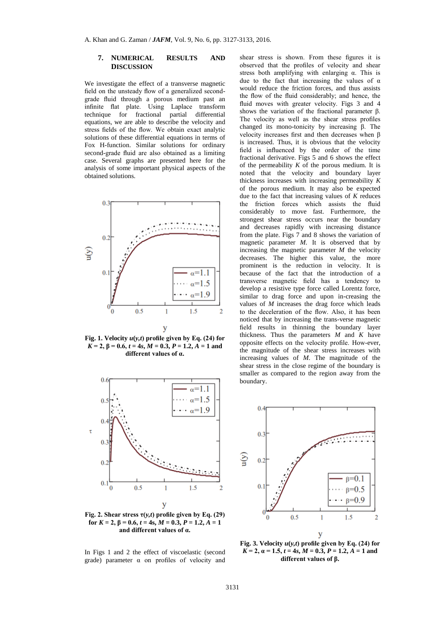#### **7. NUMERICAL RESULTS AND DISCUSSION**

We investigate the effect of a transverse magnetic field on the unsteady flow of a generalized secondgrade fluid through a porous medium past an infinite flat plate. Using Laplace transform technique for fractional partial differential equations, we are able to describe the velocity and stress fields of the flow. We obtain exact analytic solutions of these differential equations in terms of Fox H-function. Similar solutions for ordinary second-grade fluid are also obtained as a limiting case. Several graphs are presented here for the analysis of some important physical aspects of the obtained solutions.



Fig. 1. Velocity  $u(y,t)$  profile given by Eq. (24) for  $K = 2$ ,  $\beta = 0.6$ ,  $t = 4s$ ,  $M = 0.3$ ,  $P = 1.2$ ,  $A = 1$  and **different values of α.**



**Fig. 2. Shear stress**  $\tau(y,t)$  **profile given by Eq. (29) for**  $K = 2$ ,  $\beta = 0.6$ ,  $t = 4s$ ,  $M = 0.3$ ,  $P = 1.2$ ,  $A = 1$ **and different values of α.**

In Figs 1 and 2 the effect of viscoelastic (second grade) parameter  $\alpha$  on profiles of velocity and shear stress is shown. From these figures it is observed that the profiles of velocity and shear stress both amplifying with enlarging  $\alpha$ . This is due to the fact that increasing the values of  $\alpha$ would reduce the friction forces, and thus assists the flow of the fluid considerably; and hence, the fluid moves with greater velocity. Figs 3 and 4 shows the variation of the fractional parameter β. The velocity as well as the shear stress profiles changed its mono-tonicity by increasing β. The velocity increases first and then decreases when β is increased. Thus, it is obvious that the velocity field is influenced by the order of the time fractional derivative. Figs 5 and 6 shows the effect of the permeability *K* of the porous medium. It is noted that the velocity and boundary layer thickness increases with increasing permeability *K* of the porous medium. It may also be expected due to the fact that increasing values of *K* reduces the friction forces which assists the fluid considerably to move fast. Furthermore, the strongest shear stress occurs near the boundary and decreases rapidly with increasing distance from the plate. Figs 7 and 8 shows the variation of magnetic parameter *M*. It is observed that by increasing the magnetic parameter *M* the velocity decreases. The higher this value, the more prominent is the reduction in velocity. It is because of the fact that the introduction of a transverse magnetic field has a tendency to develop a resistive type force called Lorentz force, similar to drag force and upon in-creasing the values of *M* increases the drag force which leads to the deceleration of the flow. Also, it has been noticed that by increasing the trans-verse magnetic field results in thinning the boundary layer thickness. Thus the parameters *M* and *K* have opposite effects on the velocity profile. How-ever, the magnitude of the shear stress increases with increasing values of *M*. The magnitude of the shear stress in the close regime of the boundary is smaller as compared to the region away from the boundary.



Fig. 3. Velocity  $u(y,t)$  profile given by Eq. (24) for  $K = 2$ ,  $\alpha = 1.5$ ,  $t = 4s$ ,  $M = 0.3$ ,  $P = 1.2$ ,  $A = 1$  and **different values of β.**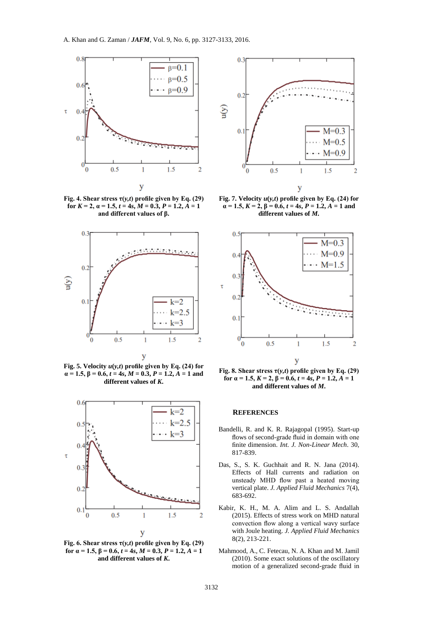

**Fig. 4. Shear stress**  $\tau(y,t)$  **profile given by Eq. (29) for**  $K = 2$ ,  $\alpha = 1.5$ ,  $t = 4s$ ,  $M = 0.3$ ,  $P = 1.2$ ,  $\hat{A} = 1$ **and different values of β.**



**Fig. 5. Velocity**  $u(y,t)$  profile given by Eq. (24) for  $\alpha = 1.5, \beta = 0.6, t = 4s, M = 0.3, P = 1.2, A = 1$  and **different values of** *K***.**



**Fig. 6. Shear stress**  $\tau(y,t)$  **profile given by Eq. (29) for**  $\alpha = 1.5$ ,  $\beta = 0.6$ ,  $t = 4s$ ,  $M = 0.3$ ,  $P = 1.2$ ,  $A = 1$ **and different values of** *K***.**



**Fig. 7. Velocity**  $u(y,t)$  profile given by Eq. (24) for  $\alpha = 1.5, K = 2, \beta = 0.6, t = 4s, P = 1.2, A = 1$  and **different values of** *M.*



**Fig. 8. Shear stress**  $\tau(y,t)$  **profile given by Eq. (29) for**  $\alpha = 1.5, K = 2, \beta = 0.6, t = 4s, P = 1.2, A = 1$ **and different values of** *M***.**

## **REFERENCES**

- Bandelli, R. and K. R. Rajagopal (1995). Start-up flows of second-grade fluid in domain with one finite dimension. *Int. J. Non-Linear Mech*. 30, 817-839.
- Das, S., S. K. Guchhait and R. N. Jana (2014). Effects of Hall currents and radiation on unsteady MHD flow past a heated moving vertical plate. *J. Applied Fluid Mechanics* 7(4), 683-692.
- Kabir, K. H., M. A. Alim and L. S. Andallah (2015). Effects of stress work on MHD natural convection flow along a vertical wavy surface with Joule heating. *J. Applied Fluid Mechanics*  8(2), 213-221.
- Mahmood, A., C. Fetecau, N. A. Khan and M. Jamil (2010). Some exact solutions of the oscillatory motion of a generalized second-grade fluid in